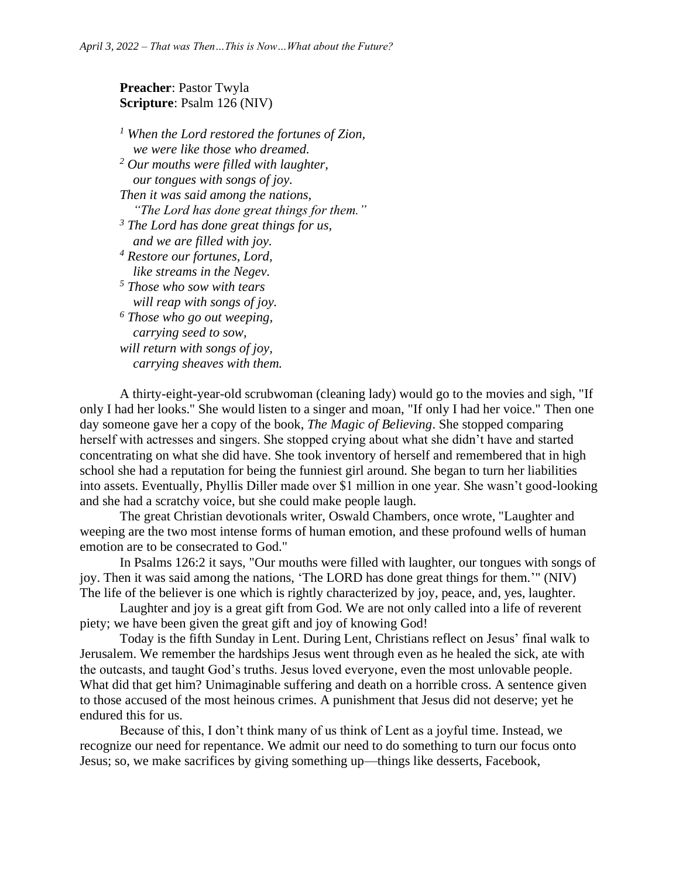## **Preacher**: Pastor Twyla **Scripture**: Psalm 126 (NIV)

*<sup>1</sup> When the Lord restored the fortunes of Zion, we were like those who dreamed. <sup>2</sup> Our mouths were filled with laughter, our tongues with songs of joy. Then it was said among the nations, "The Lord has done great things for them." <sup>3</sup> The Lord has done great things for us, and we are filled with joy. <sup>4</sup> Restore our fortunes, Lord, like streams in the Negev. <sup>5</sup> Those who sow with tears will reap with songs of joy. <sup>6</sup> Those who go out weeping, carrying seed to sow, will return with songs of joy, carrying sheaves with them.*

A thirty-eight-year-old scrubwoman (cleaning lady) would go to the movies and sigh, "If only I had her looks." She would listen to a singer and moan, "If only I had her voice." Then one day someone gave her a copy of the book, *The Magic of Believing*. She stopped comparing herself with actresses and singers. She stopped crying about what she didn't have and started concentrating on what she did have. She took inventory of herself and remembered that in high school she had a reputation for being the funniest girl around. She began to turn her liabilities into assets. Eventually, Phyllis Diller made over \$1 million in one year. She wasn't good-looking and she had a scratchy voice, but she could make people laugh.

The great Christian devotionals writer, Oswald Chambers, once wrote, "Laughter and weeping are the two most intense forms of human emotion, and these profound wells of human emotion are to be consecrated to God."

In Psalms 126:2 it says, "Our mouths were filled with laughter, our tongues with songs of joy. Then it was said among the nations, 'The LORD has done great things for them.'" (NIV) The life of the believer is one which is rightly characterized by joy, peace, and, yes, laughter.

Laughter and joy is a great gift from God. We are not only called into a life of reverent piety; we have been given the great gift and joy of knowing God!

Today is the fifth Sunday in Lent. During Lent, Christians reflect on Jesus' final walk to Jerusalem. We remember the hardships Jesus went through even as he healed the sick, ate with the outcasts, and taught God's truths. Jesus loved everyone, even the most unlovable people. What did that get him? Unimaginable suffering and death on a horrible cross. A sentence given to those accused of the most heinous crimes. A punishment that Jesus did not deserve; yet he endured this for us.

Because of this, I don't think many of us think of Lent as a joyful time. Instead, we recognize our need for repentance. We admit our need to do something to turn our focus onto Jesus; so, we make sacrifices by giving something up—things like desserts, Facebook,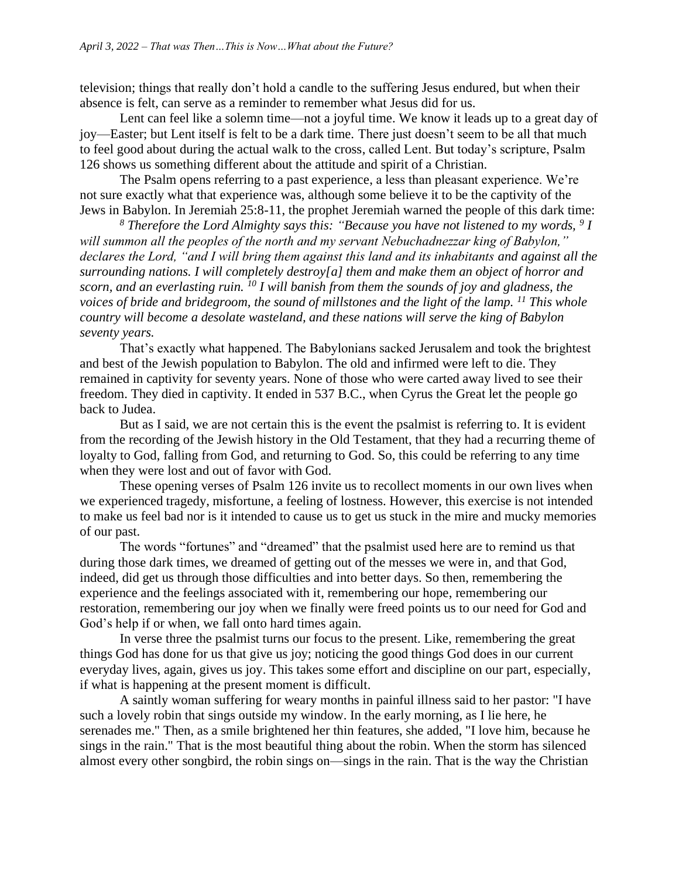television; things that really don't hold a candle to the suffering Jesus endured, but when their absence is felt, can serve as a reminder to remember what Jesus did for us.

Lent can feel like a solemn time—not a joyful time. We know it leads up to a great day of joy—Easter; but Lent itself is felt to be a dark time. There just doesn't seem to be all that much to feel good about during the actual walk to the cross, called Lent. But today's scripture, Psalm 126 shows us something different about the attitude and spirit of a Christian.

The Psalm opens referring to a past experience, a less than pleasant experience. We're not sure exactly what that experience was, although some believe it to be the captivity of the Jews in Babylon. In Jeremiah 25:8-11, the prophet Jeremiah warned the people of this dark time:

*<sup>8</sup> Therefore the Lord Almighty says this: "Because you have not listened to my words, <sup>9</sup> I will summon all the peoples of the north and my servant Nebuchadnezzar king of Babylon," declares the Lord, "and I will bring them against this land and its inhabitants and against all the surrounding nations. I will completely destroy[a] them and make them an object of horror and scorn, and an everlasting ruin. <sup>10</sup> I will banish from them the sounds of joy and gladness, the voices of bride and bridegroom, the sound of millstones and the light of the lamp. <sup>11</sup> This whole country will become a desolate wasteland, and these nations will serve the king of Babylon seventy years.*

That's exactly what happened. The Babylonians sacked Jerusalem and took the brightest and best of the Jewish population to Babylon. The old and infirmed were left to die. They remained in captivity for seventy years. None of those who were carted away lived to see their freedom. They died in captivity. It ended in 537 B.C., when Cyrus the Great let the people go back to Judea.

But as I said, we are not certain this is the event the psalmist is referring to. It is evident from the recording of the Jewish history in the Old Testament, that they had a recurring theme of loyalty to God, falling from God, and returning to God. So, this could be referring to any time when they were lost and out of favor with God.

These opening verses of Psalm 126 invite us to recollect moments in our own lives when we experienced tragedy, misfortune, a feeling of lostness. However, this exercise is not intended to make us feel bad nor is it intended to cause us to get us stuck in the mire and mucky memories of our past.

The words "fortunes" and "dreamed" that the psalmist used here are to remind us that during those dark times, we dreamed of getting out of the messes we were in, and that God, indeed, did get us through those difficulties and into better days. So then, remembering the experience and the feelings associated with it, remembering our hope, remembering our restoration, remembering our joy when we finally were freed points us to our need for God and God's help if or when, we fall onto hard times again.

In verse three the psalmist turns our focus to the present. Like, remembering the great things God has done for us that give us joy; noticing the good things God does in our current everyday lives, again, gives us joy. This takes some effort and discipline on our part, especially, if what is happening at the present moment is difficult.

A saintly woman suffering for weary months in painful illness said to her pastor: "I have such a lovely robin that sings outside my window. In the early morning, as I lie here, he serenades me." Then, as a smile brightened her thin features, she added, "I love him, because he sings in the rain." That is the most beautiful thing about the robin. When the storm has silenced almost every other songbird, the robin sings on—sings in the rain. That is the way the Christian